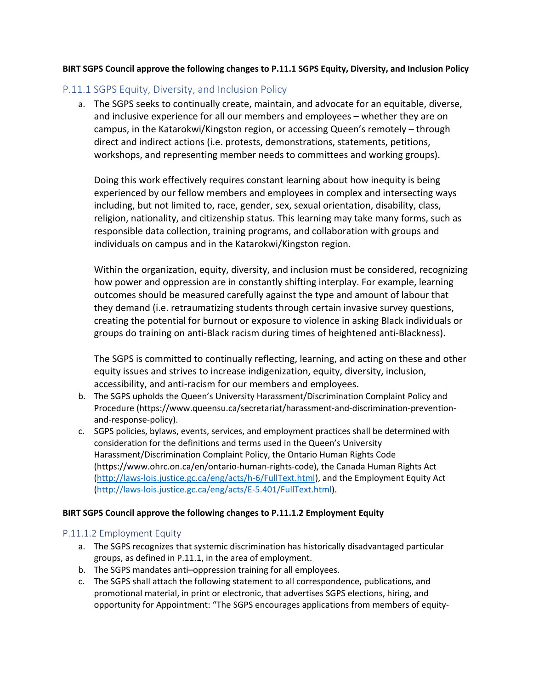### **BIRT SGPS Council approve the following changes to P.11.1 SGPS Equity, Diversity, and Inclusion Policy**

# P.11.1 SGPS Equity, Diversity, and Inclusion Policy

a. The SGPS seeks to continually create, maintain, and advocate for an equitable, diverse, and inclusive experience for all our members and employees – whether they are on campus, in the Katarokwi/Kingston region, or accessing Queen's remotely – through direct and indirect actions (i.e. protests, demonstrations, statements, petitions, workshops, and representing member needs to committees and working groups).

Doing this work effectively requires constant learning about how inequity is being experienced by our fellow members and employees in complex and intersecting ways including, but not limited to, race, gender, sex, sexual orientation, disability, class, religion, nationality, and citizenship status. This learning may take many forms, such as responsible data collection, training programs, and collaboration with groups and individuals on campus and in the Katarokwi/Kingston region.

Within the organization, equity, diversity, and inclusion must be considered, recognizing how power and oppression are in constantly shifting interplay. For example, learning outcomes should be measured carefully against the type and amount of labour that they demand (i.e. retraumatizing students through certain invasive survey questions, creating the potential for burnout or exposure to violence in asking Black individuals or groups do training on anti-Black racism during times of heightened anti-Blackness).

The SGPS is committed to continually reflecting, learning, and acting on these and other equity issues and strives to increase indigenization, equity, diversity, inclusion, accessibility, and anti-racism for our members and employees.

- b. The SGPS upholds the Queen's University Harassment/Discrimination Complaint Policy and Procedure (https://www.queensu.ca/secretariat/harassment-and-discrimination-preventionand-response-policy).
- c. SGPS policies, bylaws, events, services, and employment practices shall be determined with consideration for the definitions and terms used in the Queen's University Harassment/Discrimination Complaint Policy, the Ontario Human Rights Code (https://www.ohrc.on.ca/en/ontario-human-rights-code), the Canada Human Rights Act (http://laws-lois.justice.gc.ca/eng/acts/h-6/FullText.html), and the Employment Equity Act (http://laws-lois.justice.gc.ca/eng/acts/E-5.401/FullText.html).

#### **BIRT SGPS Council approve the following changes to P.11.1.2 Employment Equity**

## P.11.1.2 Employment Equity

- a. The SGPS recognizes that systemic discrimination has historically disadvantaged particular groups, as defined in P.11.1, in the area of employment.
- b. The SGPS mandates anti–oppression training for all employees.
- c. The SGPS shall attach the following statement to all correspondence, publications, and promotional material, in print or electronic, that advertises SGPS elections, hiring, and opportunity for Appointment: "The SGPS encourages applications from members of equity-